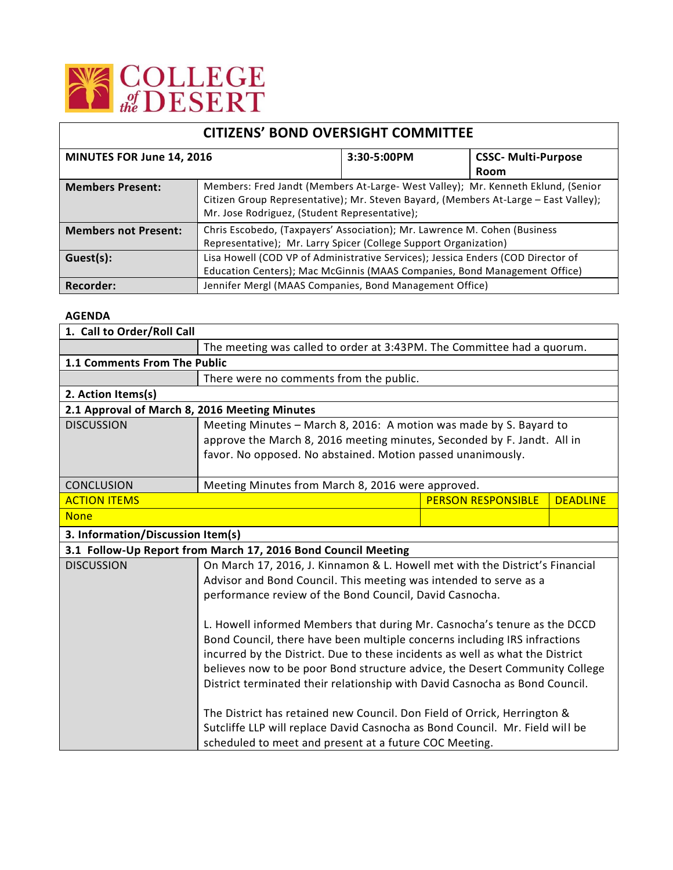

| <b>CITIZENS' BOND OVERSIGHT COMMITTEE</b> |                                                                                                                                                                                                                          |             |                            |
|-------------------------------------------|--------------------------------------------------------------------------------------------------------------------------------------------------------------------------------------------------------------------------|-------------|----------------------------|
| MINUTES FOR June 14, 2016                 |                                                                                                                                                                                                                          | 3:30-5:00PM | <b>CSSC- Multi-Purpose</b> |
|                                           |                                                                                                                                                                                                                          |             | Room                       |
| <b>Members Present:</b>                   | Members: Fred Jandt (Members At-Large- West Valley); Mr. Kenneth Eklund, (Senior<br>Citizen Group Representative); Mr. Steven Bayard, (Members At-Large - East Valley);<br>Mr. Jose Rodriguez, (Student Representative); |             |                            |
| <b>Members not Present:</b>               | Chris Escobedo, (Taxpayers' Association); Mr. Lawrence M. Cohen (Business)<br>Representative); Mr. Larry Spicer (College Support Organization)                                                                           |             |                            |
| Guest(s):                                 | Lisa Howell (COD VP of Administrative Services); Jessica Enders (COD Director of                                                                                                                                         |             |                            |
|                                           | Education Centers); Mac McGinnis (MAAS Companies, Bond Management Office)                                                                                                                                                |             |                            |
| Recorder:                                 | Jennifer Mergl (MAAS Companies, Bond Management Office)                                                                                                                                                                  |             |                            |

## **AGENDA**

| 1. Call to Order/Roll Call                    |                                                                               |                           |                 |  |
|-----------------------------------------------|-------------------------------------------------------------------------------|---------------------------|-----------------|--|
|                                               | The meeting was called to order at 3:43PM. The Committee had a quorum.        |                           |                 |  |
| 1.1 Comments From The Public                  |                                                                               |                           |                 |  |
|                                               | There were no comments from the public.                                       |                           |                 |  |
| 2. Action Items(s)                            |                                                                               |                           |                 |  |
| 2.1 Approval of March 8, 2016 Meeting Minutes |                                                                               |                           |                 |  |
| <b>DISCUSSION</b>                             | Meeting Minutes - March 8, 2016: A motion was made by S. Bayard to            |                           |                 |  |
|                                               | approve the March 8, 2016 meeting minutes, Seconded by F. Jandt. All in       |                           |                 |  |
|                                               | favor. No opposed. No abstained. Motion passed unanimously.                   |                           |                 |  |
|                                               |                                                                               |                           |                 |  |
| <b>CONCLUSION</b>                             | Meeting Minutes from March 8, 2016 were approved.                             |                           |                 |  |
| <b>ACTION ITEMS</b>                           |                                                                               | <b>PERSON RESPONSIBLE</b> | <b>DEADLINE</b> |  |
| <b>None</b>                                   |                                                                               |                           |                 |  |
| 3. Information/Discussion Item(s)             |                                                                               |                           |                 |  |
|                                               | 3.1 Follow-Up Report from March 17, 2016 Bond Council Meeting                 |                           |                 |  |
| <b>DISCUSSION</b>                             | On March 17, 2016, J. Kinnamon & L. Howell met with the District's Financial  |                           |                 |  |
|                                               | Advisor and Bond Council. This meeting was intended to serve as a             |                           |                 |  |
|                                               | performance review of the Bond Council, David Casnocha.                       |                           |                 |  |
|                                               |                                                                               |                           |                 |  |
|                                               | L. Howell informed Members that during Mr. Casnocha's tenure as the DCCD      |                           |                 |  |
|                                               | Bond Council, there have been multiple concerns including IRS infractions     |                           |                 |  |
|                                               | incurred by the District. Due to these incidents as well as what the District |                           |                 |  |
|                                               | believes now to be poor Bond structure advice, the Desert Community College   |                           |                 |  |
|                                               | District terminated their relationship with David Casnocha as Bond Council.   |                           |                 |  |
|                                               |                                                                               |                           |                 |  |
|                                               | The District has retained new Council. Don Field of Orrick, Herrington &      |                           |                 |  |
|                                               | Sutcliffe LLP will replace David Casnocha as Bond Council. Mr. Field will be  |                           |                 |  |
|                                               | scheduled to meet and present at a future COC Meeting.                        |                           |                 |  |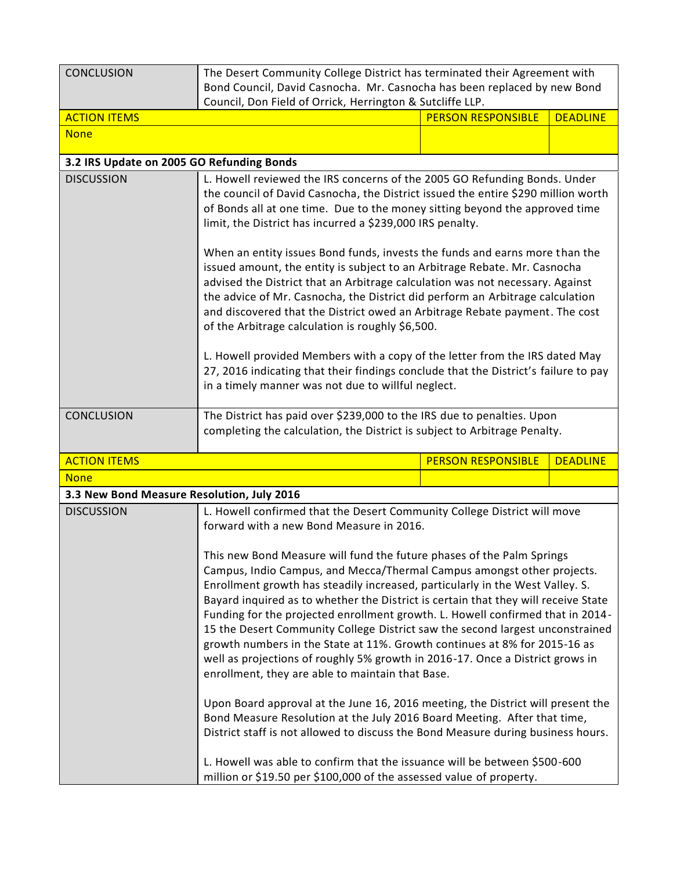| <b>CONCLUSION</b>                          | The Desert Community College District has terminated their Agreement with                                                                                            |                           |                 |  |
|--------------------------------------------|----------------------------------------------------------------------------------------------------------------------------------------------------------------------|---------------------------|-----------------|--|
|                                            | Bond Council, David Casnocha. Mr. Casnocha has been replaced by new Bond                                                                                             |                           |                 |  |
| <b>ACTION ITEMS</b>                        | Council, Don Field of Orrick, Herrington & Sutcliffe LLP.                                                                                                            | <b>PERSON RESPONSIBLE</b> | <b>DEADLINE</b> |  |
| <b>None</b>                                |                                                                                                                                                                      |                           |                 |  |
|                                            |                                                                                                                                                                      |                           |                 |  |
| 3.2 IRS Update on 2005 GO Refunding Bonds  |                                                                                                                                                                      |                           |                 |  |
| <b>DISCUSSION</b>                          | L. Howell reviewed the IRS concerns of the 2005 GO Refunding Bonds. Under                                                                                            |                           |                 |  |
|                                            | the council of David Casnocha, the District issued the entire \$290 million worth                                                                                    |                           |                 |  |
|                                            | of Bonds all at one time. Due to the money sitting beyond the approved time<br>limit, the District has incurred a \$239,000 IRS penalty.                             |                           |                 |  |
|                                            |                                                                                                                                                                      |                           |                 |  |
|                                            | When an entity issues Bond funds, invests the funds and earns more than the                                                                                          |                           |                 |  |
|                                            | issued amount, the entity is subject to an Arbitrage Rebate. Mr. Casnocha<br>advised the District that an Arbitrage calculation was not necessary. Against           |                           |                 |  |
|                                            | the advice of Mr. Casnocha, the District did perform an Arbitrage calculation                                                                                        |                           |                 |  |
|                                            | and discovered that the District owed an Arbitrage Rebate payment. The cost                                                                                          |                           |                 |  |
|                                            | of the Arbitrage calculation is roughly \$6,500.                                                                                                                     |                           |                 |  |
|                                            | L. Howell provided Members with a copy of the letter from the IRS dated May                                                                                          |                           |                 |  |
|                                            | 27, 2016 indicating that their findings conclude that the District's failure to pay                                                                                  |                           |                 |  |
|                                            | in a timely manner was not due to willful neglect.                                                                                                                   |                           |                 |  |
|                                            |                                                                                                                                                                      |                           |                 |  |
| <b>CONCLUSION</b>                          | The District has paid over \$239,000 to the IRS due to penalties. Upon<br>completing the calculation, the District is subject to Arbitrage Penalty.                  |                           |                 |  |
|                                            |                                                                                                                                                                      |                           |                 |  |
| <b>ACTION ITEMS</b>                        |                                                                                                                                                                      | <b>PERSON RESPONSIBLE</b> | <b>DEADLINE</b> |  |
| <b>None</b>                                |                                                                                                                                                                      |                           |                 |  |
| 3.3 New Bond Measure Resolution, July 2016 |                                                                                                                                                                      |                           |                 |  |
| <b>DISCUSSION</b>                          | L. Howell confirmed that the Desert Community College District will move<br>forward with a new Bond Measure in 2016.                                                 |                           |                 |  |
|                                            |                                                                                                                                                                      |                           |                 |  |
|                                            | This new Bond Measure will fund the future phases of the Palm Springs                                                                                                |                           |                 |  |
|                                            | Campus, Indio Campus, and Mecca/Thermal Campus amongst other projects.                                                                                               |                           |                 |  |
|                                            | Enrollment growth has steadily increased, particularly in the West Valley. S.                                                                                        |                           |                 |  |
|                                            | Bayard inquired as to whether the District is certain that they will receive State<br>Funding for the projected enrollment growth. L. Howell confirmed that in 2014- |                           |                 |  |
|                                            | 15 the Desert Community College District saw the second largest unconstrained                                                                                        |                           |                 |  |
|                                            | growth numbers in the State at 11%. Growth continues at 8% for 2015-16 as                                                                                            |                           |                 |  |
|                                            | well as projections of roughly 5% growth in 2016-17. Once a District grows in                                                                                        |                           |                 |  |
|                                            | enrollment, they are able to maintain that Base.                                                                                                                     |                           |                 |  |
|                                            | Upon Board approval at the June 16, 2016 meeting, the District will present the                                                                                      |                           |                 |  |
|                                            | Bond Measure Resolution at the July 2016 Board Meeting. After that time,                                                                                             |                           |                 |  |
|                                            | District staff is not allowed to discuss the Bond Measure during business hours.                                                                                     |                           |                 |  |
|                                            |                                                                                                                                                                      |                           |                 |  |
|                                            | L. Howell was able to confirm that the issuance will be between \$500-600                                                                                            |                           |                 |  |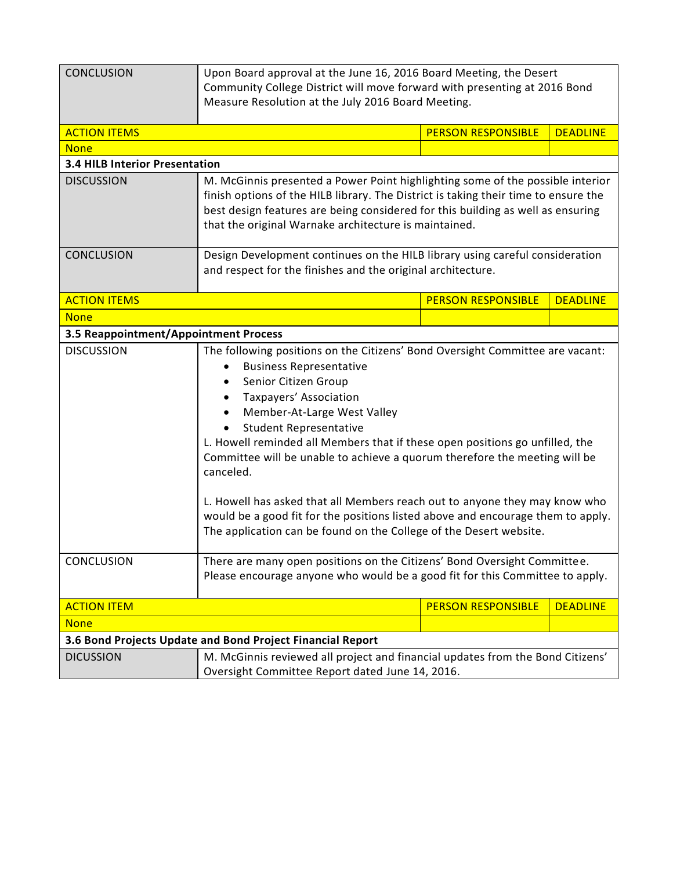| <b>CONCLUSION</b>                                          | Upon Board approval at the June 16, 2016 Board Meeting, the Desert<br>Community College District will move forward with presenting at 2016 Bond<br>Measure Resolution at the July 2016 Board Meeting.                                                                                                                                                                                                                                                                                                                                                                                                                                                                                                                           |                           |                 |  |
|------------------------------------------------------------|---------------------------------------------------------------------------------------------------------------------------------------------------------------------------------------------------------------------------------------------------------------------------------------------------------------------------------------------------------------------------------------------------------------------------------------------------------------------------------------------------------------------------------------------------------------------------------------------------------------------------------------------------------------------------------------------------------------------------------|---------------------------|-----------------|--|
| <b>ACTION ITEMS</b>                                        |                                                                                                                                                                                                                                                                                                                                                                                                                                                                                                                                                                                                                                                                                                                                 | <b>PERSON RESPONSIBLE</b> | <b>DEADLINE</b> |  |
| <b>None</b>                                                |                                                                                                                                                                                                                                                                                                                                                                                                                                                                                                                                                                                                                                                                                                                                 |                           |                 |  |
| <b>3.4 HILB Interior Presentation</b>                      |                                                                                                                                                                                                                                                                                                                                                                                                                                                                                                                                                                                                                                                                                                                                 |                           |                 |  |
| <b>DISCUSSION</b>                                          | M. McGinnis presented a Power Point highlighting some of the possible interior                                                                                                                                                                                                                                                                                                                                                                                                                                                                                                                                                                                                                                                  |                           |                 |  |
|                                                            | finish options of the HILB library. The District is taking their time to ensure the                                                                                                                                                                                                                                                                                                                                                                                                                                                                                                                                                                                                                                             |                           |                 |  |
|                                                            | best design features are being considered for this building as well as ensuring                                                                                                                                                                                                                                                                                                                                                                                                                                                                                                                                                                                                                                                 |                           |                 |  |
|                                                            | that the original Warnake architecture is maintained.                                                                                                                                                                                                                                                                                                                                                                                                                                                                                                                                                                                                                                                                           |                           |                 |  |
| <b>CONCLUSION</b>                                          | Design Development continues on the HILB library using careful consideration                                                                                                                                                                                                                                                                                                                                                                                                                                                                                                                                                                                                                                                    |                           |                 |  |
|                                                            | and respect for the finishes and the original architecture.                                                                                                                                                                                                                                                                                                                                                                                                                                                                                                                                                                                                                                                                     |                           |                 |  |
|                                                            |                                                                                                                                                                                                                                                                                                                                                                                                                                                                                                                                                                                                                                                                                                                                 |                           |                 |  |
| <b>ACTION ITEMS</b>                                        |                                                                                                                                                                                                                                                                                                                                                                                                                                                                                                                                                                                                                                                                                                                                 | <b>PERSON RESPONSIBLE</b> | <b>DEADLINE</b> |  |
| <b>None</b>                                                |                                                                                                                                                                                                                                                                                                                                                                                                                                                                                                                                                                                                                                                                                                                                 |                           |                 |  |
| 3.5 Reappointment/Appointment Process                      |                                                                                                                                                                                                                                                                                                                                                                                                                                                                                                                                                                                                                                                                                                                                 |                           |                 |  |
| <b>DISCUSSION</b><br>CONCLUSION                            | The following positions on the Citizens' Bond Oversight Committee are vacant:<br><b>Business Representative</b><br>Senior Citizen Group<br>Taxpayers' Association<br>Member-At-Large West Valley<br><b>Student Representative</b><br>L. Howell reminded all Members that if these open positions go unfilled, the<br>Committee will be unable to achieve a quorum therefore the meeting will be<br>canceled.<br>L. Howell has asked that all Members reach out to anyone they may know who<br>would be a good fit for the positions listed above and encourage them to apply.<br>The application can be found on the College of the Desert website.<br>There are many open positions on the Citizens' Bond Oversight Committee. |                           |                 |  |
|                                                            | Please encourage anyone who would be a good fit for this Committee to apply.                                                                                                                                                                                                                                                                                                                                                                                                                                                                                                                                                                                                                                                    |                           |                 |  |
| <b>ACTION ITEM</b>                                         |                                                                                                                                                                                                                                                                                                                                                                                                                                                                                                                                                                                                                                                                                                                                 | <b>PERSON RESPONSIBLE</b> | <b>DEADLINE</b> |  |
| <b>None</b>                                                |                                                                                                                                                                                                                                                                                                                                                                                                                                                                                                                                                                                                                                                                                                                                 |                           |                 |  |
| 3.6 Bond Projects Update and Bond Project Financial Report |                                                                                                                                                                                                                                                                                                                                                                                                                                                                                                                                                                                                                                                                                                                                 |                           |                 |  |
| <b>DICUSSION</b>                                           | M. McGinnis reviewed all project and financial updates from the Bond Citizens'                                                                                                                                                                                                                                                                                                                                                                                                                                                                                                                                                                                                                                                  |                           |                 |  |
|                                                            | Oversight Committee Report dated June 14, 2016.                                                                                                                                                                                                                                                                                                                                                                                                                                                                                                                                                                                                                                                                                 |                           |                 |  |